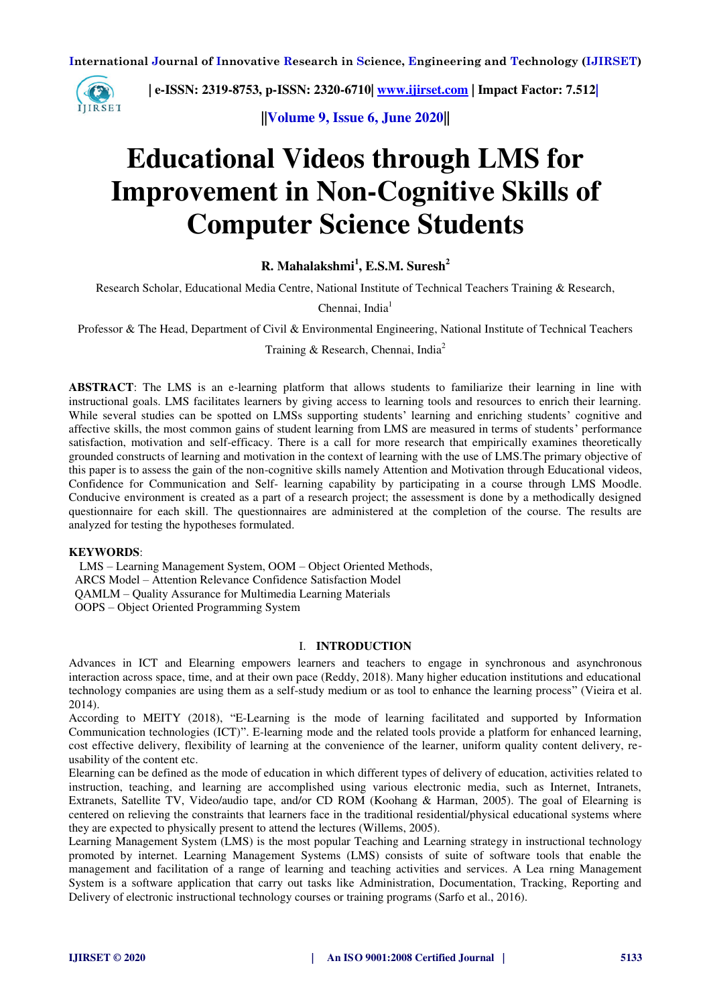

 **| e-ISSN: 2319-8753, p-ISSN: 2320-6710[| www.ijirset.com](http://www.ijirset.com/) | Impact Factor: 7.512|**

**||Volume 9, Issue 6, June 2020||** 

# **Educational Videos through LMS for Improvement in Non-Cognitive Skills of Computer Science Students**

**R. Mahalakshmi<sup>1</sup> , E.S.M. Suresh<sup>2</sup>**

Research Scholar, Educational Media Centre, National Institute of Technical Teachers Training & Research,

Chennai, India $<sup>1</sup>$ </sup>

Professor & The Head, Department of Civil & Environmental Engineering, National Institute of Technical Teachers

Training & Research, Chennai, India<sup>2</sup>

**ABSTRACT**: The LMS is an e-learning platform that allows students to familiarize their learning in line with instructional goals. LMS facilitates learners by giving access to learning tools and resources to enrich their learning. While several studies can be spotted on LMSs supporting students' learning and enriching students' cognitive and affective skills, the most common gains of student learning from LMS are measured in terms of students' performance satisfaction, motivation and self-efficacy. There is a call for more research that empirically examines theoretically grounded constructs of learning and motivation in the context of learning with the use of LMS.The primary objective of this paper is to assess the gain of the non-cognitive skills namely Attention and Motivation through Educational videos, Confidence for Communication and Self- learning capability by participating in a course through LMS Moodle. Conducive environment is created as a part of a research project; the assessment is done by a methodically designed questionnaire for each skill. The questionnaires are administered at the completion of the course. The results are analyzed for testing the hypotheses formulated.

#### **KEYWORDS**:

 LMS – Learning Management System, OOM – Object Oriented Methods, ARCS Model – Attention Relevance Confidence Satisfaction Model QAMLM – Quality Assurance for Multimedia Learning Materials OOPS – Object Oriented Programming System

## I. **INTRODUCTION**

Advances in ICT and Elearning empowers learners and teachers to engage in synchronous and asynchronous interaction across space, time, and at their own pace (Reddy, 2018). Many higher education institutions and educational technology companies are using them as a self-study medium or as tool to enhance the learning process" (Vieira et al. 2014).

According to MEITY (2018), "E-Learning is the mode of learning facilitated and supported by Information Communication technologies (ICT)". E-learning mode and the related tools provide a platform for enhanced learning, cost effective delivery, flexibility of learning at the convenience of the learner, uniform quality content delivery, reusability of the content etc.

Elearning can be defined as the mode of education in which different types of delivery of education, activities related to instruction, teaching, and learning are accomplished using various electronic media, such as Internet, Intranets, Extranets, Satellite TV, Video/audio tape, and/or CD ROM (Koohang & Harman, 2005). The goal of Elearning is centered on relieving the constraints that learners face in the traditional residential/physical educational systems where they are expected to physically present to attend the lectures (Willems, 2005).

Learning Management System (LMS) is the most popular Teaching and Learning strategy in instructional technology promoted by internet. Learning Management Systems (LMS) consists of suite of software tools that enable the management and facilitation of a range of learning and teaching activities and services. A Lea rning Management System is a software application that carry out tasks like Administration, Documentation, Tracking, Reporting and Delivery of electronic instructional technology courses or training programs (Sarfo et al., 2016).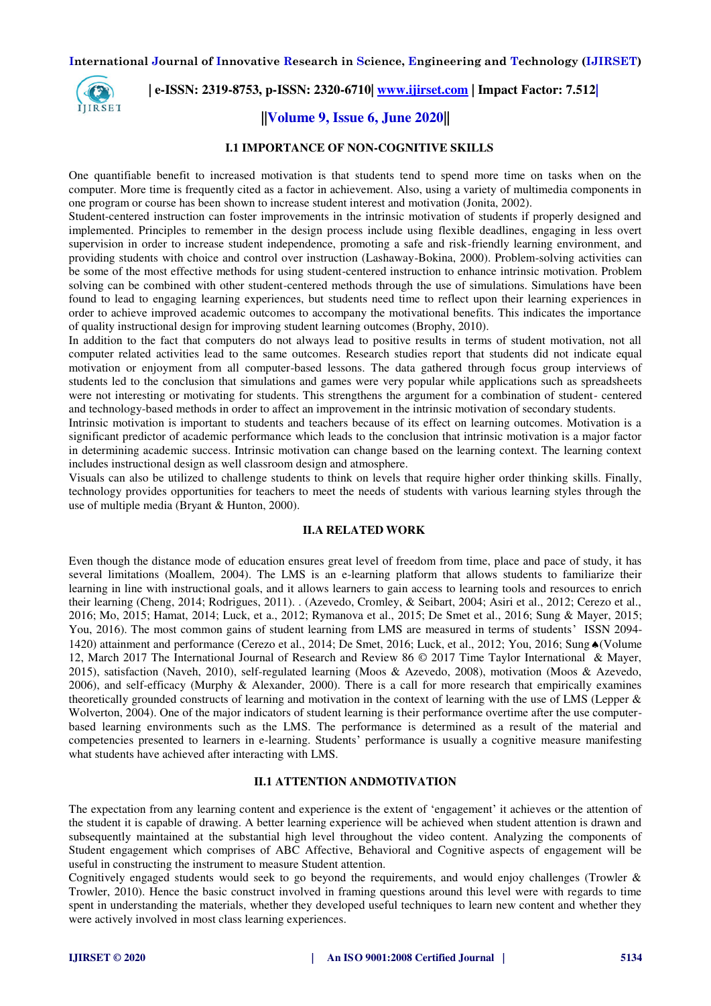

# **| e-ISSN: 2319-8753, p-ISSN: 2320-6710[| www.ijirset.com](http://www.ijirset.com/) | Impact Factor: 7.512|**

# **||Volume 9, Issue 6, June 2020||**

## **I.1 IMPORTANCE OF NON-COGNITIVE SKILLS**

One quantifiable benefit to increased motivation is that students tend to spend more time on tasks when on the computer. More time is frequently cited as a factor in achievement. Also, using a variety of multimedia components in one program or course has been shown to increase student interest and motivation (Jonita, 2002).

Student-centered instruction can foster improvements in the intrinsic motivation of students if properly designed and implemented. Principles to remember in the design process include using flexible deadlines, engaging in less overt supervision in order to increase student independence, promoting a safe and risk-friendly learning environment, and providing students with choice and control over instruction (Lashaway-Bokina, 2000). Problem-solving activities can be some of the most effective methods for using student-centered instruction to enhance intrinsic motivation. Problem solving can be combined with other student-centered methods through the use of simulations. Simulations have been found to lead to engaging learning experiences, but students need time to reflect upon their learning experiences in order to achieve improved academic outcomes to accompany the motivational benefits. This indicates the importance of quality instructional design for improving student learning outcomes (Brophy, 2010).

In addition to the fact that computers do not always lead to positive results in terms of student motivation, not all computer related activities lead to the same outcomes. Research studies report that students did not indicate equal motivation or enjoyment from all computer-based lessons. The data gathered through focus group interviews of students led to the conclusion that simulations and games were very popular while applications such as spreadsheets were not interesting or motivating for students. This strengthens the argument for a combination of student- centered and technology-based methods in order to affect an improvement in the intrinsic motivation of secondary students.

Intrinsic motivation is important to students and teachers because of its effect on learning outcomes. Motivation is a significant predictor of academic performance which leads to the conclusion that intrinsic motivation is a major factor in determining academic success. Intrinsic motivation can change based on the learning context. The learning context includes instructional design as well classroom design and atmosphere.

Visuals can also be utilized to challenge students to think on levels that require higher order thinking skills. Finally, technology provides opportunities for teachers to meet the needs of students with various learning styles through the use of multiple media (Bryant & Hunton, 2000).

## **II.A RELATED WORK**

Even though the distance mode of education ensures great level of freedom from time, place and pace of study, it has several limitations (Moallem, 2004). The LMS is an e-learning platform that allows students to familiarize their learning in line with instructional goals, and it allows learners to gain access to learning tools and resources to enrich their learning (Cheng, 2014; Rodrigues, 2011). . (Azevedo, Cromley, & Seibart, 2004; Asiri et al., 2012; Cerezo et al., 2016; Mo, 2015; Hamat, 2014; Luck, et a., 2012; Rymanova et al., 2015; De Smet et al., 2016; Sung & Mayer, 2015; You, 2016). The most common gains of student learning from LMS are measured in terms of students' ISSN 2094- 1420) attainment and performance (Cerezo et al., 2014; De Smet, 2016; Luck, et al., 2012; You, 2016; Sung (Volume) 12, March 2017 The International Journal of Research and Review 86 © 2017 Time Taylor International & Mayer, 2015), satisfaction (Naveh, 2010), self-regulated learning (Moos & Azevedo, 2008), motivation (Moos & Azevedo, 2006), and self-efficacy (Murphy & Alexander, 2000). There is a call for more research that empirically examines theoretically grounded constructs of learning and motivation in the context of learning with the use of LMS (Lepper & Wolverton, 2004). One of the major indicators of student learning is their performance overtime after the use computerbased learning environments such as the LMS. The performance is determined as a result of the material and competencies presented to learners in e-learning. Students' performance is usually a cognitive measure manifesting what students have achieved after interacting with LMS.

## **II.1 ATTENTION ANDMOTIVATION**

The expectation from any learning content and experience is the extent of 'engagement' it achieves or the attention of the student it is capable of drawing. A better learning experience will be achieved when student attention is drawn and subsequently maintained at the substantial high level throughout the video content. Analyzing the components of Student engagement which comprises of ABC Affective, Behavioral and Cognitive aspects of engagement will be useful in constructing the instrument to measure Student attention.

Cognitively engaged students would seek to go beyond the requirements, and would enjoy challenges (Trowler & Trowler, 2010). Hence the basic construct involved in framing questions around this level were with regards to time spent in understanding the materials, whether they developed useful techniques to learn new content and whether they were actively involved in most class learning experiences.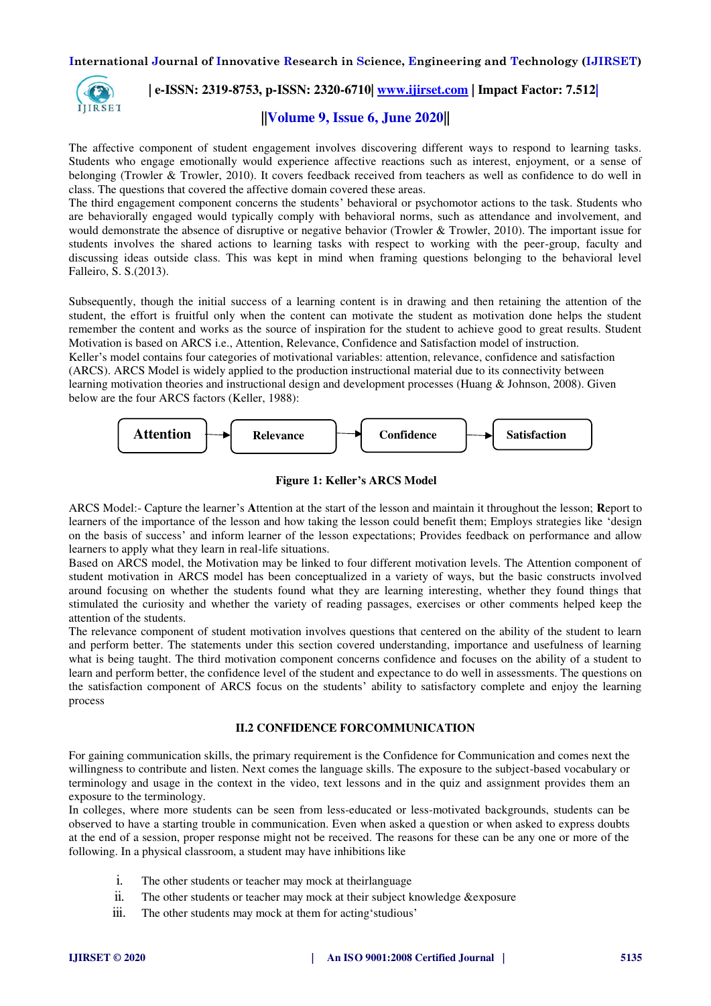

# **| e-ISSN: 2319-8753, p-ISSN: 2320-6710[| www.ijirset.com](http://www.ijirset.com/) | Impact Factor: 7.512|**

# **||Volume 9, Issue 6, June 2020||**

The affective component of student engagement involves discovering different ways to respond to learning tasks. Students who engage emotionally would experience affective reactions such as interest, enjoyment, or a sense of belonging (Trowler & Trowler, 2010). It covers feedback received from teachers as well as confidence to do well in class. The questions that covered the affective domain covered these areas.

The third engagement component concerns the students' behavioral or psychomotor actions to the task. Students who are behaviorally engaged would typically comply with behavioral norms, such as attendance and involvement, and would demonstrate the absence of disruptive or negative behavior (Trowler & Trowler, 2010). The important issue for students involves the shared actions to learning tasks with respect to working with the peer-group, faculty and discussing ideas outside class. This was kept in mind when framing questions belonging to the behavioral level Falleiro, S. S.(2013).

Subsequently, though the initial success of a learning content is in drawing and then retaining the attention of the student, the effort is fruitful only when the content can motivate the student as motivation done helps the student remember the content and works as the source of inspiration for the student to achieve good to great results. Student Motivation is based on ARCS i.e., Attention, Relevance, Confidence and Satisfaction model of instruction. Keller's model contains four categories of motivational variables: attention, relevance, confidence and satisfaction (ARCS). ARCS Model is widely applied to the production instructional material due to its connectivity between learning motivation theories and instructional design and development processes (Huang & Johnson, 2008). Given below are the four ARCS factors (Keller, 1988):





ARCS Model:- Capture the learner's **A**ttention at the start of the lesson and maintain it throughout the lesson; **R**eport to learners of the importance of the lesson and how taking the lesson could benefit them; Employs strategies like 'design on the basis of success' and inform learner of the lesson expectations; Provides feedback on performance and allow learners to apply what they learn in real-life situations.

Based on ARCS model, the Motivation may be linked to four different motivation levels. The Attention component of student motivation in ARCS model has been conceptualized in a variety of ways, but the basic constructs involved around focusing on whether the students found what they are learning interesting, whether they found things that stimulated the curiosity and whether the variety of reading passages, exercises or other comments helped keep the attention of the students.

The relevance component of student motivation involves questions that centered on the ability of the student to learn and perform better. The statements under this section covered understanding, importance and usefulness of learning what is being taught. The third motivation component concerns confidence and focuses on the ability of a student to learn and perform better, the confidence level of the student and expectance to do well in assessments. The questions on the satisfaction component of ARCS focus on the students' ability to satisfactory complete and enjoy the learning process

## **II.2 CONFIDENCE FORCOMMUNICATION**

For gaining communication skills, the primary requirement is the Confidence for Communication and comes next the willingness to contribute and listen. Next comes the language skills. The exposure to the subject-based vocabulary or terminology and usage in the context in the video, text lessons and in the quiz and assignment provides them an exposure to the terminology.

In colleges, where more students can be seen from less-educated or less-motivated backgrounds, students can be observed to have a starting trouble in communication. Even when asked a question or when asked to express doubts at the end of a session, proper response might not be received. The reasons for these can be any one or more of the following. In a physical classroom, a student may have inhibitions like

- i. The other students or teacher may mock at theirlanguage
- ii. The other students or teacher may mock at their subject knowledge &exposure
- iii. The other students may mock at them for acting'studious'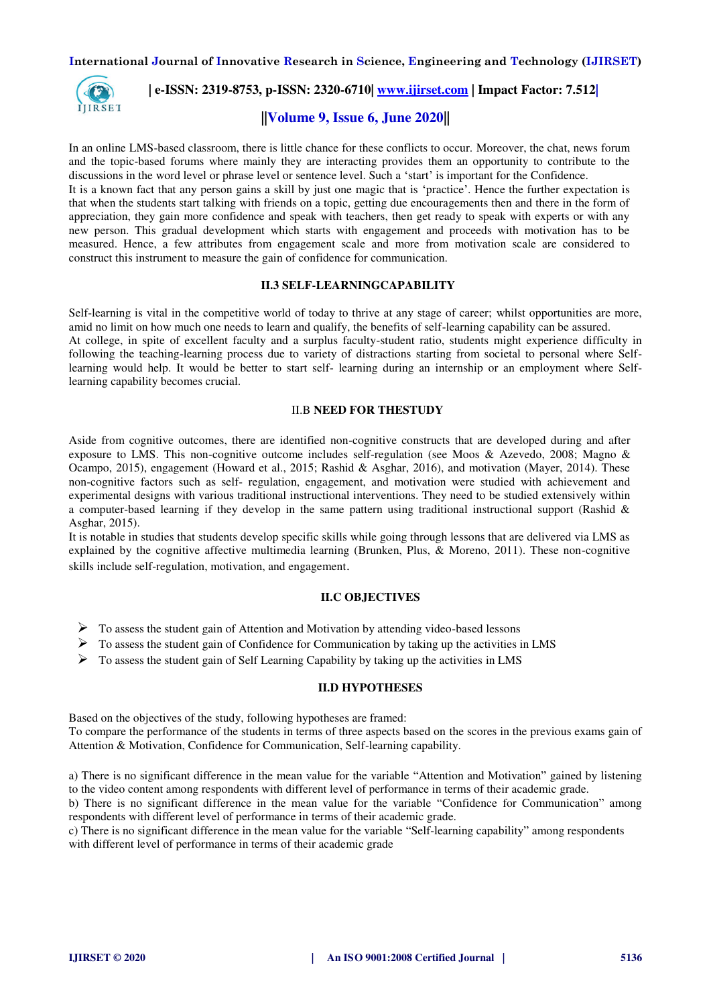

# **| e-ISSN: 2319-8753, p-ISSN: 2320-6710[| www.ijirset.com](http://www.ijirset.com/) | Impact Factor: 7.512|**

# **||Volume 9, Issue 6, June 2020||**

In an online LMS-based classroom, there is little chance for these conflicts to occur. Moreover, the chat, news forum and the topic-based forums where mainly they are interacting provides them an opportunity to contribute to the discussions in the word level or phrase level or sentence level. Such a 'start' is important for the Confidence. It is a known fact that any person gains a skill by just one magic that is 'practice'. Hence the further expectation is that when the students start talking with friends on a topic, getting due encouragements then and there in the form of appreciation, they gain more confidence and speak with teachers, then get ready to speak with experts or with any new person. This gradual development which starts with engagement and proceeds with motivation has to be measured. Hence, a few attributes from engagement scale and more from motivation scale are considered to construct this instrument to measure the gain of confidence for communication.

# **II.3 SELF-LEARNINGCAPABILITY**

Self-learning is vital in the competitive world of today to thrive at any stage of career; whilst opportunities are more, amid no limit on how much one needs to learn and qualify, the benefits of self-learning capability can be assured. At college, in spite of excellent faculty and a surplus faculty-student ratio, students might experience difficulty in following the teaching-learning process due to variety of distractions starting from societal to personal where Selflearning would help. It would be better to start self- learning during an internship or an employment where Selflearning capability becomes crucial.

### II.B **NEED FOR THESTUDY**

Aside from cognitive outcomes, there are identified non-cognitive constructs that are developed during and after exposure to LMS. This non-cognitive outcome includes self-regulation (see Moos & Azevedo, 2008; Magno & Ocampo, 2015), engagement (Howard et al., 2015; Rashid & Asghar, 2016), and motivation (Mayer, 2014). These non-cognitive factors such as self- regulation, engagement, and motivation were studied with achievement and experimental designs with various traditional instructional interventions. They need to be studied extensively within a computer-based learning if they develop in the same pattern using traditional instructional support (Rashid & Asghar, 2015).

It is notable in studies that students develop specific skills while going through lessons that are delivered via LMS as explained by the cognitive affective multimedia learning (Brunken, Plus, & Moreno, 2011). These non-cognitive skills include self-regulation, motivation, and engagement.

# **II.C OBJECTIVES**

- $\triangleright$  To assess the student gain of Attention and Motivation by attending video-based lessons
- $\triangleright$  To assess the student gain of Confidence for Communication by taking up the activities in LMS
- $\triangleright$  To assess the student gain of Self Learning Capability by taking up the activities in LMS

### **II.D HYPOTHESES**

Based on the objectives of the study, following hypotheses are framed: To compare the performance of the students in terms of three aspects based on the scores in the previous exams gain of Attention & Motivation, Confidence for Communication, Self-learning capability.

a) There is no significant difference in the mean value for the variable "Attention and Motivation" gained by listening to the video content among respondents with different level of performance in terms of their academic grade.

b) There is no significant difference in the mean value for the variable "Confidence for Communication" among respondents with different level of performance in terms of their academic grade.

c) There is no significant difference in the mean value for the variable "Self-learning capability" among respondents with different level of performance in terms of their academic grade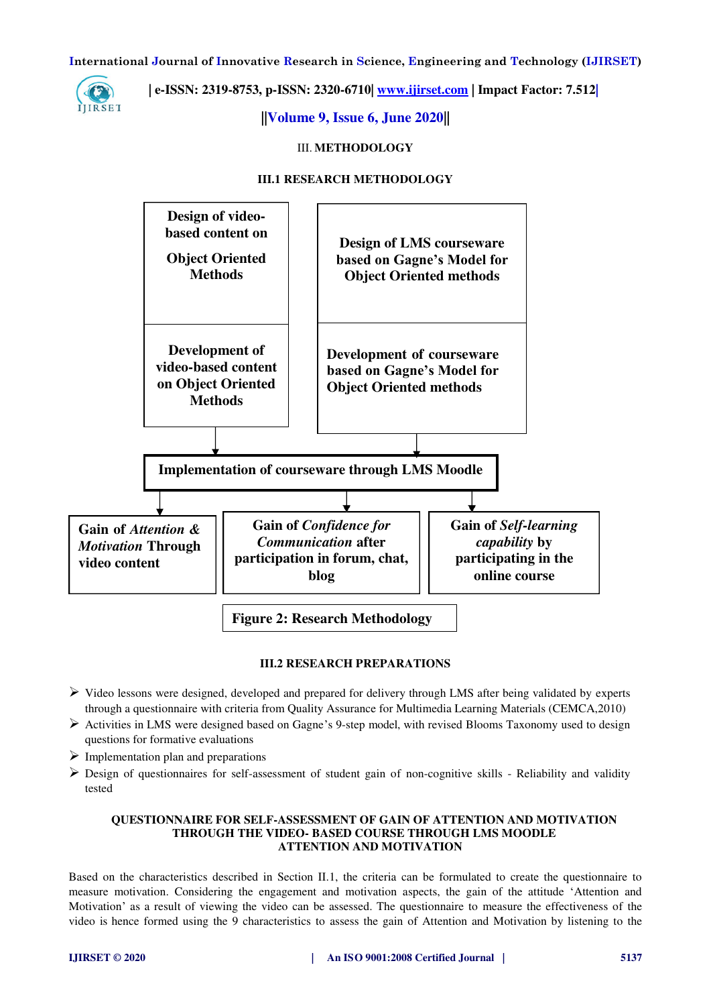

 **| e-ISSN: 2319-8753, p-ISSN: 2320-6710[| www.ijirset.com](http://www.ijirset.com/) | Impact Factor: 7.512|**

**||Volume 9, Issue 6, June 2020||** 

III. **METHODOLOGY** 

### **III.1 RESEARCH METHODOLOGY**



## **III.2 RESEARCH PREPARATIONS**

- Video lessons were designed, developed and prepared for delivery through LMS after being validated by experts through a questionnaire with criteria from Quality Assurance for Multimedia Learning Materials (CEMCA,2010)
- $\triangleright$  Activities in LMS were designed based on Gagne's 9-step model, with revised Blooms Taxonomy used to design questions for formative evaluations
- $\triangleright$  Implementation plan and preparations
- $\triangleright$  Design of questionnaires for self-assessment of student gain of non-cognitive skills Reliability and validity tested

## **QUESTIONNAIRE FOR SELF-ASSESSMENT OF GAIN OF ATTENTION AND MOTIVATION THROUGH THE VIDEO- BASED COURSE THROUGH LMS MOODLE ATTENTION AND MOTIVATION**

Based on the characteristics described in Section II.1, the criteria can be formulated to create the questionnaire to measure motivation. Considering the engagement and motivation aspects, the gain of the attitude 'Attention and Motivation' as a result of viewing the video can be assessed. The questionnaire to measure the effectiveness of the video is hence formed using the 9 characteristics to assess the gain of Attention and Motivation by listening to the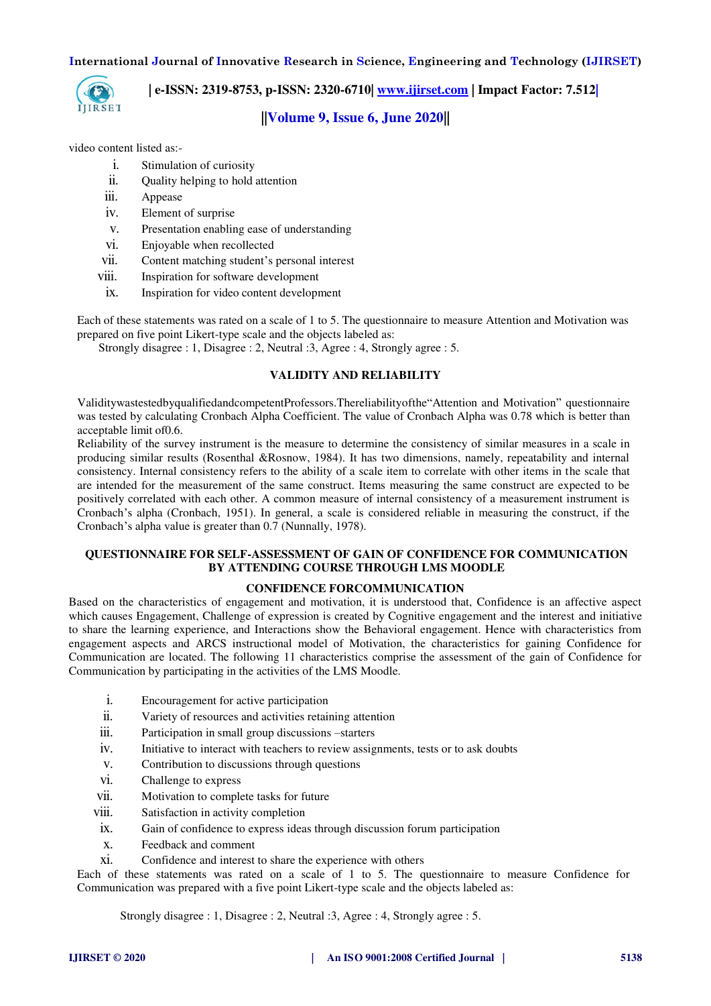

 **| e-ISSN: 2319-8753, p-ISSN: 2320-6710[| www.ijirset.com](http://www.ijirset.com/) | Impact Factor: 7.512|**

# **||Volume 9, Issue 6, June 2020||**

video content listed as:-

- i. Stimulation of curiosity
- ii. Quality helping to hold attention
- iii. Appease
- iv. Element of surprise
- v. Presentation enabling ease of understanding
- vi. Enjoyable when recollected
- vii. Content matching student's personal interest
- viii. Inspiration for software development
- ix. Inspiration for video content development

Each of these statements was rated on a scale of 1 to 5. The questionnaire to measure Attention and Motivation was prepared on five point Likert-type scale and the objects labeled as:

Strongly disagree : 1, Disagree : 2, Neutral :3, Agree : 4, Strongly agree : 5.

# **VALIDITY AND RELIABILITY**

ValiditywastestedbyqualifiedandcompetentProfessors.Thereliabilityofthe"Attention and Motivation" questionnaire was tested by calculating Cronbach Alpha Coefficient. The value of Cronbach Alpha was 0.78 which is better than acceptable limit of0.6.

Reliability of the survey instrument is the measure to determine the consistency of similar measures in a scale in producing similar results (Rosenthal &Rosnow, 1984). It has two dimensions, namely, repeatability and internal consistency. Internal consistency refers to the ability of a scale item to correlate with other items in the scale that are intended for the measurement of the same construct. Items measuring the same construct are expected to be positively correlated with each other. A common measure of internal consistency of a measurement instrument is Cronbach's alpha (Cronbach, 1951). In general, a scale is considered reliable in measuring the construct, if the Cronbach's alpha value is greater than 0.7 (Nunnally, 1978).

### **QUESTIONNAIRE FOR SELF-ASSESSMENT OF GAIN OF CONFIDENCE FOR COMMUNICATION BY ATTENDING COURSE THROUGH LMS MOODLE**

#### **CONFIDENCE FORCOMMUNICATION**

Based on the characteristics of engagement and motivation, it is understood that, Confidence is an affective aspect which causes Engagement, Challenge of expression is created by Cognitive engagement and the interest and initiative to share the learning experience, and Interactions show the Behavioral engagement. Hence with characteristics from engagement aspects and ARCS instructional model of Motivation, the characteristics for gaining Confidence for Communication are located. The following 11 characteristics comprise the assessment of the gain of Confidence for Communication by participating in the activities of the LMS Moodle.

- i. Encouragement for active participation
- ii. Variety of resources and activities retaining attention
- iii. Participation in small group discussions –starters
- iv. Initiative to interact with teachers to review assignments, tests or to ask doubts
- v. Contribution to discussions through questions
- vi. Challenge to express
- vii. Motivation to complete tasks for future
- viii. Satisfaction in activity completion
- ix. Gain of confidence to express ideas through discussion forum participation
- x. Feedback and comment
- xi. Confidence and interest to share the experience with others

Each of these statements was rated on a scale of 1 to 5. The questionnaire to measure Confidence for Communication was prepared with a five point Likert-type scale and the objects labeled as:

Strongly disagree : 1, Disagree : 2, Neutral :3, Agree : 4, Strongly agree : 5.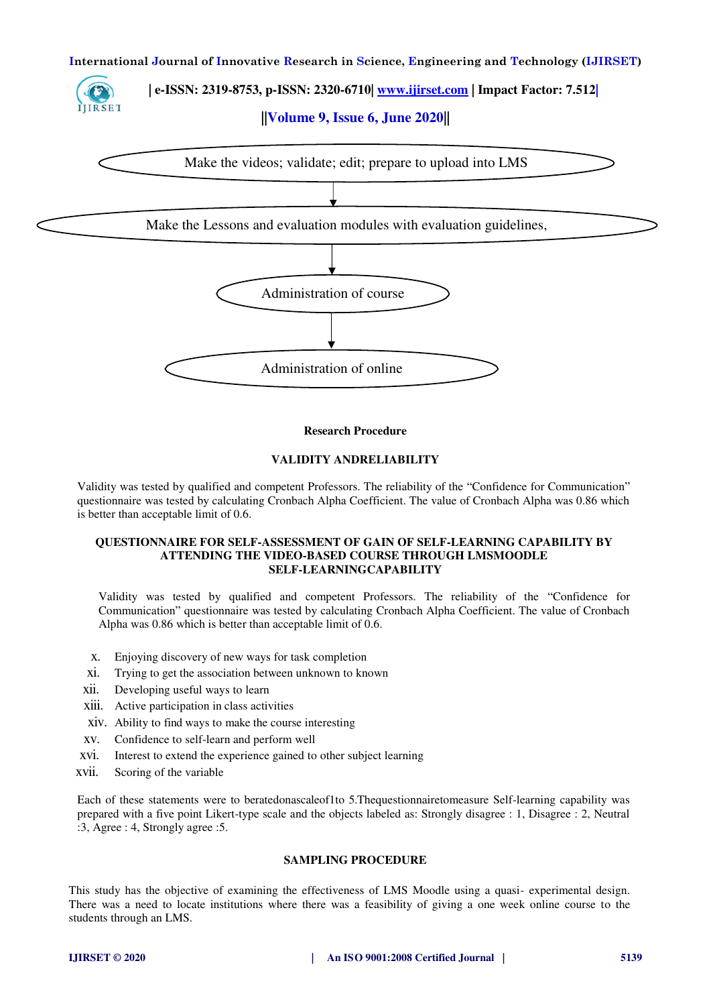# **| e-ISSN: 2319-8753, p-ISSN: 2320-6710[| www.ijirset.com](http://www.ijirset.com/) | Impact Factor: 7.512|**

**||Volume 9, Issue 6, June 2020||** 



#### **Research Procedure**

#### **VALIDITY ANDRELIABILITY**

Validity was tested by qualified and competent Professors. The reliability of the "Confidence for Communication" questionnaire was tested by calculating Cronbach Alpha Coefficient. The value of Cronbach Alpha was 0.86 which is better than acceptable limit of 0.6.

#### **QUESTIONNAIRE FOR SELF-ASSESSMENT OF GAIN OF SELF-LEARNING CAPABILITY BY ATTENDING THE VIDEO-BASED COURSE THROUGH LMSMOODLE SELF-LEARNINGCAPABILITY**

Validity was tested by qualified and competent Professors. The reliability of the "Confidence for Communication" questionnaire was tested by calculating Cronbach Alpha Coefficient. The value of Cronbach Alpha was 0.86 which is better than acceptable limit of 0.6.

- x. Enjoying discovery of new ways for task completion
- xi. Trying to get the association between unknown to known
- xii. Developing useful ways to learn
- xiii. Active participation in class activities
- xiv. Ability to find ways to make the course interesting
- xv. Confidence to self-learn and perform well
- xvi. Interest to extend the experience gained to other subject learning
- xvii. Scoring of the variable

Each of these statements were to beratedonascaleof1to 5.Thequestionnairetomeasure Self-learning capability was prepared with a five point Likert-type scale and the objects labeled as: Strongly disagree : 1, Disagree : 2, Neutral :3, Agree : 4, Strongly agree :5.

# **SAMPLING PROCEDURE**

This study has the objective of examining the effectiveness of LMS Moodle using a quasi- experimental design. There was a need to locate institutions where there was a feasibility of giving a one week online course to the students through an LMS.

IJIRSET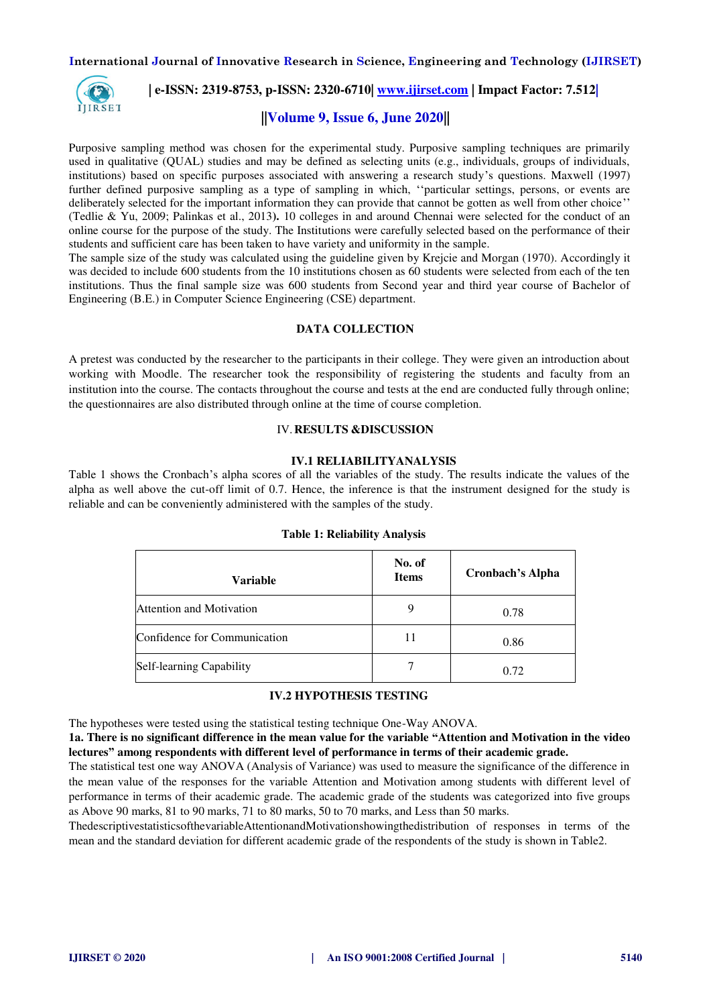

# **| e-ISSN: 2319-8753, p-ISSN: 2320-6710[| www.ijirset.com](http://www.ijirset.com/) | Impact Factor: 7.512|**

# **||Volume 9, Issue 6, June 2020||**

Purposive sampling method was chosen for the experimental study. Purposive sampling techniques are primarily used in qualitative (QUAL) studies and may be defined as selecting units (e.g., individuals, groups of individuals, institutions) based on specific purposes associated with answering a research study's questions. Maxwell (1997) further defined purposive sampling as a type of sampling in which, ''particular settings, persons, or events are deliberately selected for the important information they can provide that cannot be gotten as well from other choice'' (Tedlie & Yu, 2009; Palinkas et al., 2013**).** 10 colleges in and around Chennai were selected for the conduct of an online course for the purpose of the study. The Institutions were carefully selected based on the performance of their students and sufficient care has been taken to have variety and uniformity in the sample.

The sample size of the study was calculated using the guideline given by Krejcie and Morgan (1970). Accordingly it was decided to include 600 students from the 10 institutions chosen as 60 students were selected from each of the ten institutions. Thus the final sample size was 600 students from Second year and third year course of Bachelor of Engineering (B.E.) in Computer Science Engineering (CSE) department.

## **DATA COLLECTION**

A pretest was conducted by the researcher to the participants in their college. They were given an introduction about working with Moodle. The researcher took the responsibility of registering the students and faculty from an institution into the course. The contacts throughout the course and tests at the end are conducted fully through online; the questionnaires are also distributed through online at the time of course completion.

## IV.**RESULTS &DISCUSSION**

#### **IV.1 RELIABILITYANALYSIS**

Table 1 shows the Cronbach's alpha scores of all the variables of the study. The results indicate the values of the alpha as well above the cut-off limit of 0.7. Hence, the inference is that the instrument designed for the study is reliable and can be conveniently administered with the samples of the study.

| <b>Variable</b>                 | No. of<br><b>Items</b> | <b>Cronbach's Alpha</b> |
|---------------------------------|------------------------|-------------------------|
| <b>Attention and Motivation</b> |                        | 0.78                    |
| Confidence for Communication    | 11                     | 0.86                    |
| Self-learning Capability        |                        | 0.72                    |

#### **Table 1: Reliability Analysis**

## **IV.2 HYPOTHESIS TESTING**

The hypotheses were tested using the statistical testing technique One-Way ANOVA.

**1a. There is no significant difference in the mean value for the variable "Attention and Motivation in the video lectures" among respondents with different level of performance in terms of their academic grade.** 

The statistical test one way ANOVA (Analysis of Variance) was used to measure the significance of the difference in the mean value of the responses for the variable Attention and Motivation among students with different level of performance in terms of their academic grade. The academic grade of the students was categorized into five groups as Above 90 marks, 81 to 90 marks, 71 to 80 marks, 50 to 70 marks, and Less than 50 marks.

ThedescriptivestatisticsofthevariableAttentionandMotivationshowingthedistribution of responses in terms of the mean and the standard deviation for different academic grade of the respondents of the study is shown in Table2.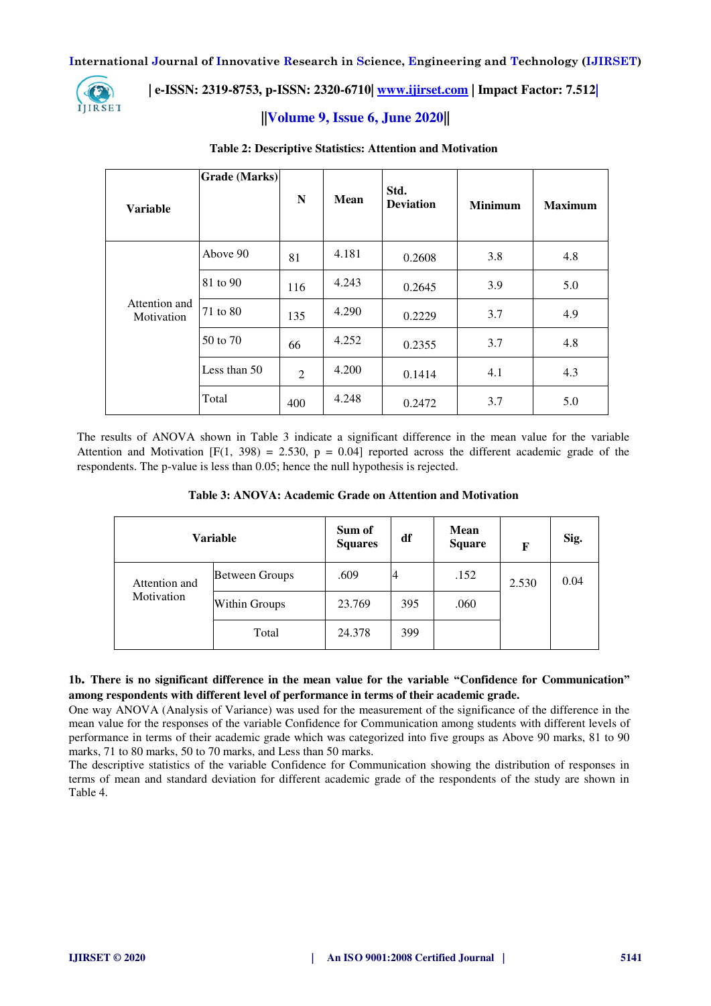

# **| e-ISSN: 2319-8753, p-ISSN: 2320-6710[| www.ijirset.com](http://www.ijirset.com/) | Impact Factor: 7.512|**

# **||Volume 9, Issue 6, June 2020||**

| <b>Variable</b>             | <b>Grade</b> (Marks) | N              | <b>Mean</b> | Std.<br><b>Deviation</b> | <b>Minimum</b> | <b>Maximum</b> |
|-----------------------------|----------------------|----------------|-------------|--------------------------|----------------|----------------|
|                             | Above 90             | 81             | 4.181       | 0.2608                   | 3.8            | 4.8            |
|                             | 81 to 90             | 116            | 4.243       | 0.2645                   | 3.9            | 5.0            |
| Attention and<br>Motivation | 71 to 80             | 135            | 4.290       | 0.2229                   | 3.7            | 4.9            |
|                             | 50 to 70             | 66             | 4.252       | 0.2355                   | 3.7            | 4.8            |
|                             | Less than 50         | $\overline{2}$ | 4.200       | 0.1414                   | 4.1            | 4.3            |
|                             | Total                | 400            | 4.248       | 0.2472                   | 3.7            | 5.0            |

### **Table 2: Descriptive Statistics: Attention and Motivation**

The results of ANOVA shown in Table 3 indicate a significant difference in the mean value for the variable Attention and Motivation  $[F(1, 398) = 2.530, p = 0.04]$  reported across the different academic grade of the respondents. The p-value is less than 0.05; hence the null hypothesis is rejected.

|               | <b>Variable</b>       | Sum of<br><b>Squares</b> | df  | <b>Mean</b><br><b>Square</b> | F     | Sig. |
|---------------|-----------------------|--------------------------|-----|------------------------------|-------|------|
| Attention and | <b>Between Groups</b> | .609                     |     | .152                         | 2.530 | 0.04 |
| Motivation    | <b>Within Groups</b>  | 23.769                   | 395 | .060                         |       |      |
|               | Total                 | 24.378                   | 399 |                              |       |      |

**1b. There is no significant difference in the mean value for the variable "Confidence for Communication" among respondents with different level of performance in terms of their academic grade.** 

One way ANOVA (Analysis of Variance) was used for the measurement of the significance of the difference in the mean value for the responses of the variable Confidence for Communication among students with different levels of performance in terms of their academic grade which was categorized into five groups as Above 90 marks, 81 to 90 marks, 71 to 80 marks, 50 to 70 marks, and Less than 50 marks.

The descriptive statistics of the variable Confidence for Communication showing the distribution of responses in terms of mean and standard deviation for different academic grade of the respondents of the study are shown in Table 4.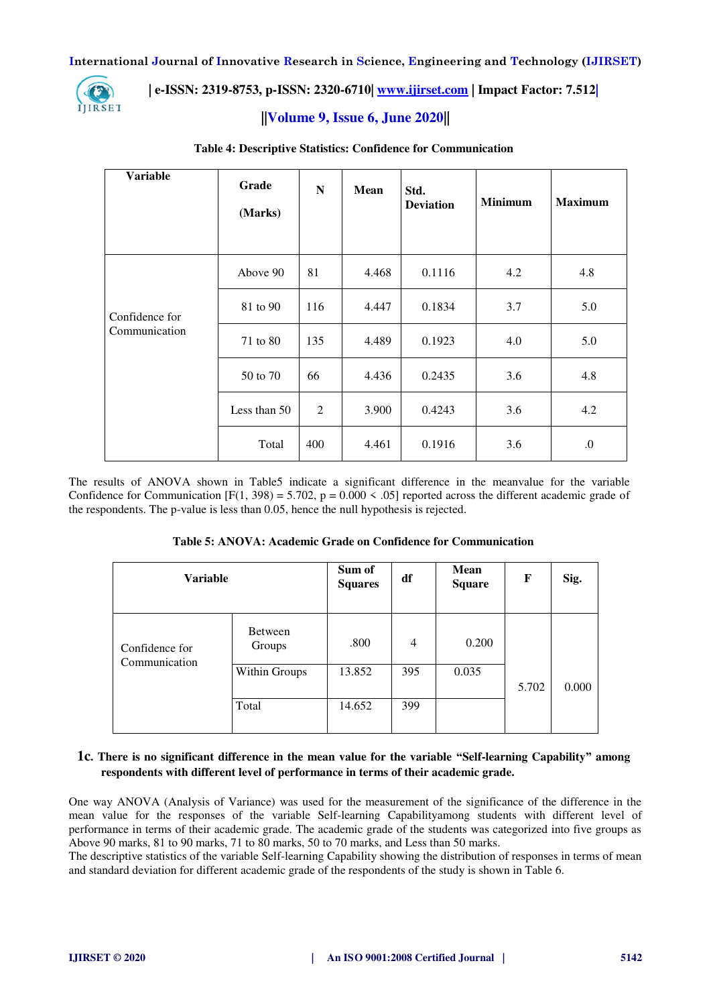

# **| e-ISSN: 2319-8753, p-ISSN: 2320-6710[| www.ijirset.com](http://www.ijirset.com/) | Impact Factor: 7.512|**

# **||Volume 9, Issue 6, June 2020||**

| <b>Variable</b>                 | Grade<br>(Marks) | N   | <b>Mean</b> | Std.<br><b>Deviation</b> | <b>Minimum</b> | <b>Maximum</b> |
|---------------------------------|------------------|-----|-------------|--------------------------|----------------|----------------|
|                                 | Above 90         | 81  | 4.468       | 0.1116                   | 4.2            | 4.8            |
| Confidence for<br>Communication | 81 to 90         | 116 | 4.447       | 0.1834                   | 3.7            | 5.0            |
|                                 | 71 to 80         | 135 | 4.489       | 0.1923                   | 4.0            | 5.0            |
|                                 | 50 to 70         | 66  | 4.436       | 0.2435                   | 3.6            | 4.8            |
|                                 | Less than 50     | 2   | 3.900       | 0.4243                   | 3.6            | 4.2            |
|                                 | Total            | 400 | 4.461       | 0.1916                   | 3.6            | 0.             |

### **Table 4: Descriptive Statistics: Confidence for Communication**

The results of ANOVA shown in Table5 indicate a significant difference in the meanvalue for the variable Confidence for Communication  $[F(1, 398) = 5.702$ ,  $p = 0.000 \le .05]$  reported across the different academic grade of the respondents. The p-value is less than 0.05, hence the null hypothesis is rejected.

| <b>Variable</b> |                   | Sum of<br><b>Squares</b> | df  | Mean<br><b>Square</b> | F     | Sig.  |
|-----------------|-------------------|--------------------------|-----|-----------------------|-------|-------|
| Confidence for  | Between<br>Groups | .800                     | 4   | 0.200                 |       |       |
| Communication   | Within Groups     | 13.852                   | 395 | 0.035                 | 5.702 | 0.000 |
|                 | Total             | 14.652                   | 399 |                       |       |       |

# **1c. There is no significant difference in the mean value for the variable "Self-learning Capability" among respondents with different level of performance in terms of their academic grade.**

One way ANOVA (Analysis of Variance) was used for the measurement of the significance of the difference in the mean value for the responses of the variable Self-learning Capabilityamong students with different level of performance in terms of their academic grade. The academic grade of the students was categorized into five groups as Above 90 marks, 81 to 90 marks, 71 to 80 marks, 50 to 70 marks, and Less than 50 marks.

The descriptive statistics of the variable Self-learning Capability showing the distribution of responses in terms of mean and standard deviation for different academic grade of the respondents of the study is shown in Table 6.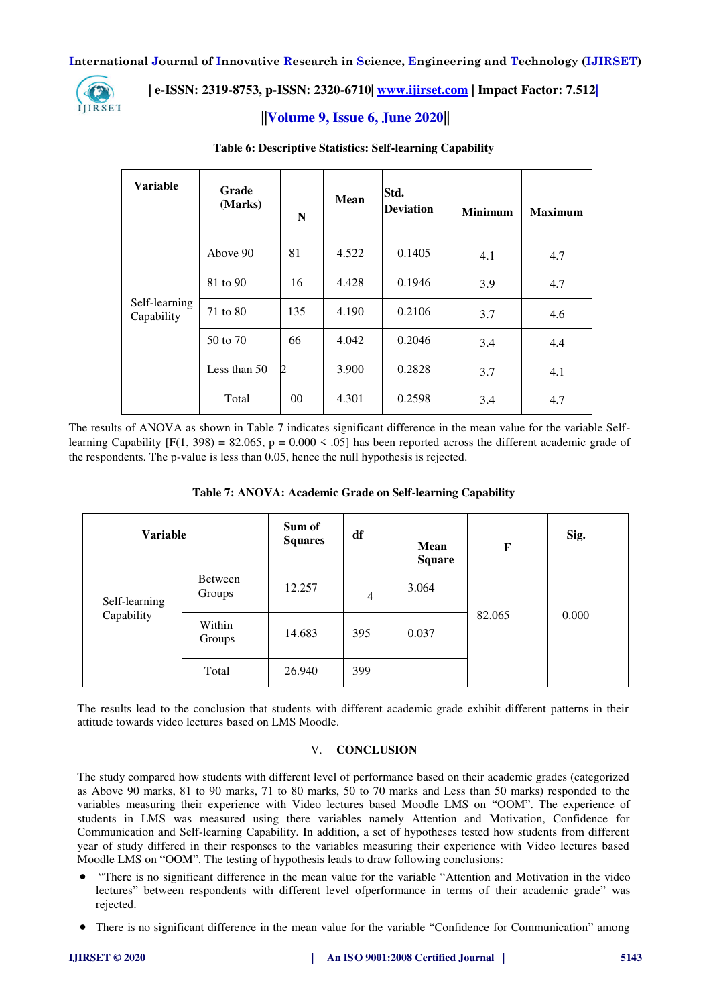

# **| e-ISSN: 2319-8753, p-ISSN: 2320-6710[| www.ijirset.com](http://www.ijirset.com/) | Impact Factor: 7.512|**

# **||Volume 9, Issue 6, June 2020||**

| <b>Variable</b>             | Grade<br>(Marks) | N   | <b>Mean</b> | Std.<br><b>Deviation</b> | <b>Minimum</b> | <b>Maximum</b> |
|-----------------------------|------------------|-----|-------------|--------------------------|----------------|----------------|
|                             | Above 90         | 81  | 4.522       | 0.1405                   | 4.1            | 4.7            |
|                             | 81 to 90         | 16  | 4.428       | 0.1946                   | 3.9            | 4.7            |
| Self-learning<br>Capability | 71 to 80         | 135 | 4.190       | 0.2106                   | 3.7            | 4.6            |
|                             | 50 to 70         | 66  | 4.042       | 0.2046                   | 3.4            | 4.4            |
|                             | Less than 50     | 2   | 3.900       | 0.2828                   | 3.7            | 4.1            |
|                             | Total            | 00  | 4.301       | 0.2598                   | 3.4            | 4.7            |

# **Table 6: Descriptive Statistics: Self-learning Capability**

The results of ANOVA as shown in Table 7 indicates significant difference in the mean value for the variable Selflearning Capability  $[F(1, 398) = 82.065, p = 0.000 \le .05]$  has been reported across the different academic grade of the respondents. The p-value is less than 0.05, hence the null hypothesis is rejected.

| <b>Variable</b> |                   | Sum of<br><b>Squares</b> | df  | Mean<br><b>Square</b> | F      | Sig.  |
|-----------------|-------------------|--------------------------|-----|-----------------------|--------|-------|
| Self-learning   | Between<br>Groups | 12.257                   | 4   | 3.064                 |        |       |
| Capability      | Within<br>Groups  | 14.683                   | 395 | 0.037                 | 82.065 | 0.000 |
|                 | Total             | 26.940                   | 399 |                       |        |       |

The results lead to the conclusion that students with different academic grade exhibit different patterns in their attitude towards video lectures based on LMS Moodle.

# V. **CONCLUSION**

The study compared how students with different level of performance based on their academic grades (categorized as Above 90 marks, 81 to 90 marks, 71 to 80 marks, 50 to 70 marks and Less than 50 marks) responded to the variables measuring their experience with Video lectures based Moodle LMS on "OOM". The experience of students in LMS was measured using there variables namely Attention and Motivation, Confidence for Communication and Self-learning Capability. In addition, a set of hypotheses tested how students from different year of study differed in their responses to the variables measuring their experience with Video lectures based Moodle LMS on "OOM". The testing of hypothesis leads to draw following conclusions:

- "There is no significant difference in the mean value for the variable "Attention and Motivation in the video lectures" between respondents with different level ofperformance in terms of their academic grade" was rejected.
- There is no significant difference in the mean value for the variable "Confidence for Communication" among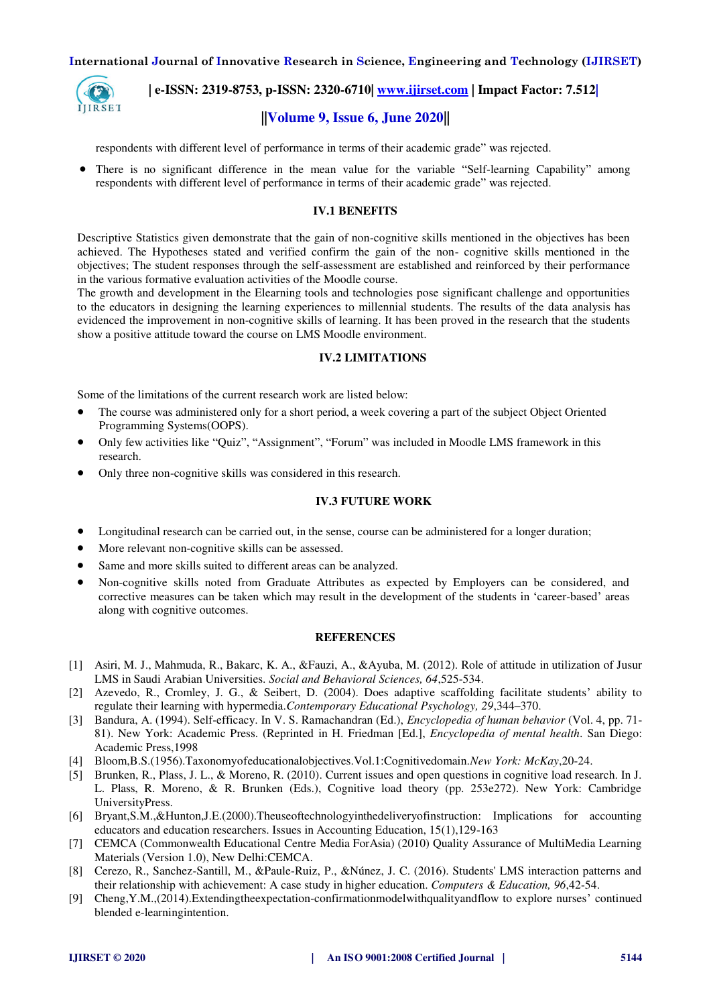

 **| e-ISSN: 2319-8753, p-ISSN: 2320-6710[| www.ijirset.com](http://www.ijirset.com/) | Impact Factor: 7.512|**

# **||Volume 9, Issue 6, June 2020||**

respondents with different level of performance in terms of their academic grade" was rejected.

 There is no significant difference in the mean value for the variable "Self-learning Capability" among respondents with different level of performance in terms of their academic grade" was rejected.

#### **IV.1 BENEFITS**

Descriptive Statistics given demonstrate that the gain of non-cognitive skills mentioned in the objectives has been achieved. The Hypotheses stated and verified confirm the gain of the non- cognitive skills mentioned in the objectives; The student responses through the self-assessment are established and reinforced by their performance in the various formative evaluation activities of the Moodle course.

The growth and development in the Elearning tools and technologies pose significant challenge and opportunities to the educators in designing the learning experiences to millennial students. The results of the data analysis has evidenced the improvement in non-cognitive skills of learning. It has been proved in the research that the students show a positive attitude toward the course on LMS Moodle environment.

#### **IV.2 LIMITATIONS**

Some of the limitations of the current research work are listed below:

- The course was administered only for a short period, a week covering a part of the subject Object Oriented Programming Systems(OOPS).
- Only few activities like "Quiz", "Assignment", "Forum" was included in Moodle LMS framework in this research.
- Only three non-cognitive skills was considered in this research.

#### **IV.3 FUTURE WORK**

- Longitudinal research can be carried out, in the sense, course can be administered for a longer duration;
- More relevant non-cognitive skills can be assessed.
- Same and more skills suited to different areas can be analyzed.
- Non-cognitive skills noted from Graduate Attributes as expected by Employers can be considered, and corrective measures can be taken which may result in the development of the students in 'career-based' areas along with cognitive outcomes.

### **REFERENCES**

- [1] Asiri, M. J., Mahmuda, R., Bakarc, K. A., &Fauzi, A., &Ayuba, M. (2012). Role of attitude in utilization of Jusur LMS in Saudi Arabian Universities. *Social and Behavioral Sciences, 64*,525-534.
- [2] Azevedo, R., Cromley, J. G., & Seibert, D. (2004). Does adaptive scaffolding facilitate students' ability to regulate their learning with hypermedia.*Contemporary Educational Psychology, 29*,344–370.
- [3] Bandura, A. (1994). Self-efficacy. In V. S. Ramachandran (Ed.), *Encyclopedia of human behavior* (Vol. 4, pp. 71- 81). New York: Academic Press. (Reprinted in H. Friedman [Ed.], *Encyclopedia of mental health*. San Diego: Academic Press,1998
- [4] Bloom,B.S.(1956).Taxonomyofeducationalobjectives.Vol.1:Cognitivedomain.*New York: McKay*,20-24.
- [5] Brunken, R., Plass, J. L., & Moreno, R. (2010). Current issues and open questions in cognitive load research. In J. L. Plass, R. Moreno, & R. Brunken (Eds.), Cognitive load theory (pp. 253e272). New York: Cambridge UniversityPress.
- [6] Bryant,S.M.,&Hunton,J.E.(2000).Theuseoftechnologyinthedeliveryofinstruction: Implications for accounting educators and education researchers. Issues in Accounting Education, 15(1),129-163
- [7] CEMCA (Commonwealth Educational Centre Media ForAsia) (2010) Quality Assurance of MultiMedia Learning Materials (Version 1.0), New Delhi:CEMCA.
- [8] Cerezo, R., Sanchez-Santill, M., &Paule-Ruiz, P., &Núnez, J. C. (2016). Students' LMS interaction patterns and their relationship with achievement: A case study in higher education. *Computers & Education, 96*,42-54.
- [9] Cheng,Y.M.,(2014).Extendingtheexpectation-confirmationmodelwithqualityandflow to explore nurses' continued blended e-learningintention.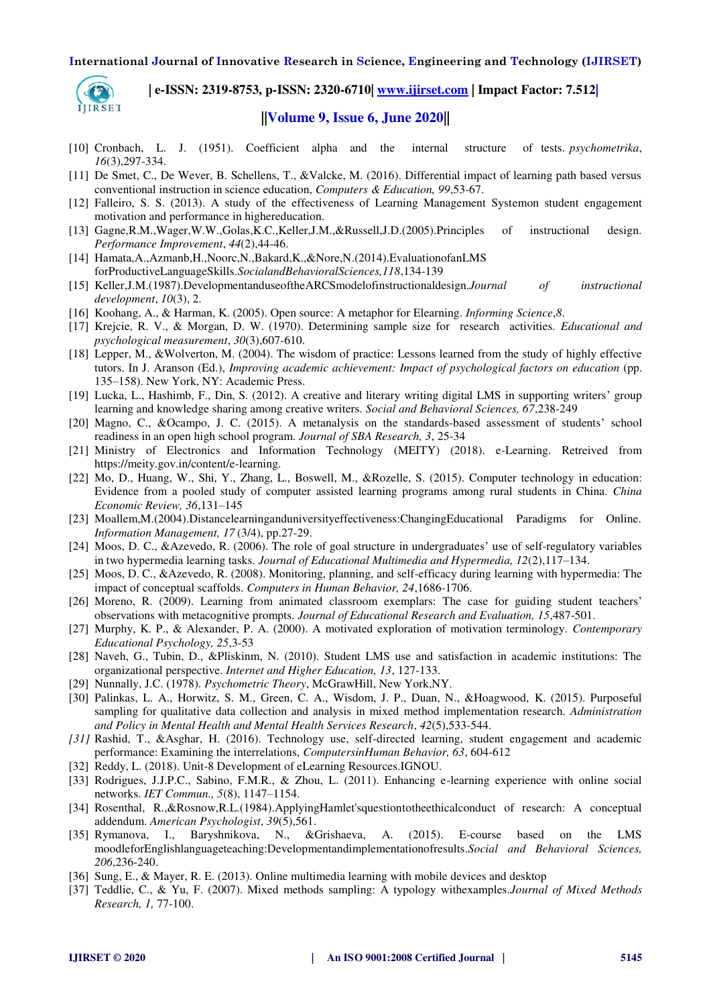

# **| e-ISSN: 2319-8753, p-ISSN: 2320-6710[| www.ijirset.com](http://www.ijirset.com/) | Impact Factor: 7.512|**

# **||Volume 9, Issue 6, June 2020||**

- [10] Cronbach, L. J. (1951). Coefficient alpha and the internal structure of tests. *psychometrika*, *16*(3),297-334.
- [11] De Smet, C., De Wever, B. Schellens, T., &Valcke, M. (2016). Differential impact of learning path based versus conventional instruction in science education, *Computers & Education, 99*,53-67.
- [12] Falleiro, S. S. (2013). A study of the effectiveness of Learning Management Systemon student engagement motivation and performance in highereducation.
- [13] Gagne,R.M.,Wager,W.W.,Golas,K.C.,Keller,J.M.,&Russell,J.D.(2005).Principles of instructional design. *Performance Improvement*, *44*(2),44-46.
- [14] Hamata,A.,Azmanb,H.,Noorc,N.,Bakard,K.,&Nore,N.(2014).EvaluationofanLMS forProductiveLanguageSkills.*SocialandBehavioralSciences,118*,134-139
- [15] Keller,J.M.(1987).DevelopmentanduseoftheARCSmodelofinstructionaldesign.*Journal of instructional development*, *10*(3), 2.
- [16] Koohang, A., & Harman, K. (2005). Open source: A metaphor for Elearning. *Informing Science*,*8*.
- [17] Krejcie, R. V., & Morgan, D. W. (1970). Determining sample size for research activities. *Educational and psychological measurement*, *30*(3),607-610.
- [18] Lepper, M., &Wolverton, M. (2004). The wisdom of practice: Lessons learned from the study of highly effective tutors. In J. Aranson (Ed.), *Improving academic achievement: Impact of psychological factors on education* (pp. 135–158). New York, NY: Academic Press.
- [19] Lucka, L., Hashimb, F., Din, S. (2012). A creative and literary writing digital LMS in supporting writers' group learning and knowledge sharing among creative writers. *Social and Behavioral Sciences, 67*,238-249
- [20] Magno, C., &Ocampo, J. C. (2015). A metanalysis on the standards-based assessment of students' school readiness in an open high school program. *Journal of SBA Research, 3*, 25-34
- [21] Ministry of Electronics and Information Technology (MEITY) (2018). e-Learning. Retreived from [https://meity.gov.in/content/e-learning.](https://meity.gov.in/content/e-learning)
- [22] Mo, D., Huang, W., Shi, Y., Zhang, L., Boswell, M., &Rozelle, S. (2015). Computer technology in education: Evidence from a pooled study of computer assisted learning programs among rural students in China. *China Economic Review, 36*,131–145
- [23] Moallem,M.(2004).Distancelearninganduniversityeffectiveness:ChangingEducational Paradigms for Online. *Information Management, 17* (3/4), pp.27-29.
- [24] Moos, D. C., &Azevedo, R. (2006). The role of goal structure in undergraduates' use of self-regulatory variables in two hypermedia learning tasks. *Journal of Educational Multimedia and Hypermedia, 12*(2),117–134.
- [25] Moos, D. C., &Azevedo, R. (2008). Monitoring, planning, and self-efficacy during learning with hypermedia: The impact of conceptual scaffolds. *Computers in Human Behavior, 24*,1686-1706.
- [26] Moreno, R. (2009). Learning from animated classroom exemplars: The case for guiding student teachers' observations with metacognitive prompts. *Journal of Educational Research and Evaluation, 15*,487-501.
- [27] Murphy, K. P., & Alexander, P. A. (2000). A motivated exploration of motivation terminology. *Contemporary Educational Psychology, 25*,3-53
- [28] Naveh, G., Tubin, D., &Pliskinm, N. (2010). Student LMS use and satisfaction in academic institutions: The organizational perspective. *Internet and Higher Education, 13*, 127-133.
- [29] Nunnally, J.C. (1978). *Psychometric Theory*, McGrawHill, New York,NY.
- [30] Palinkas, L. A., Horwitz, S. M., Green, C. A., Wisdom, J. P., Duan, N., &Hoagwood, K. (2015). Purposeful sampling for qualitative data collection and analysis in mixed method implementation research. *Administration and Policy in Mental Health and Mental Health Services Research*, *42*(5),533-544.
- *[31]* Rashid, T., &Asghar, H. (2016). Technology use, self-directed learning, student engagement and academic performance: Examining the interrelations, *ComputersinHuman Behavior, 63*, 604-612
- [32] Reddy, L. (2018). Unit-8 Development of eLearning Resources. IGNOU.
- [33] Rodrigues, J.J.P.C., Sabino, F.M.R., & Zhou, L. (2011). Enhancing e-learning experience with online social networks. *IET Commun., 5*(8), 1147–1154.
- [34] Rosenthal, R.,&Rosnow,R.L.(1984).ApplyingHamlet'squestiontotheethicalconduct of research: A conceptual addendum. *American Psychologist*, *39*(5),561.
- [35] Rymanova, I., Baryshnikova, N., &Grishaeva, A. (2015). E-course based on the LMS moodleforEnglishlanguageteaching:Developmentandimplementationofresults.*Social and Behavioral Sciences, 206*,236-240.
- [36] Sung, E., & Mayer, R. E. (2013). Online multimedia learning with mobile devices and desktop
- [37] Teddlie, C., & Yu, F. (2007). Mixed methods sampling: A typology withexamples.*Journal of Mixed Methods Research, 1,* 77-100.